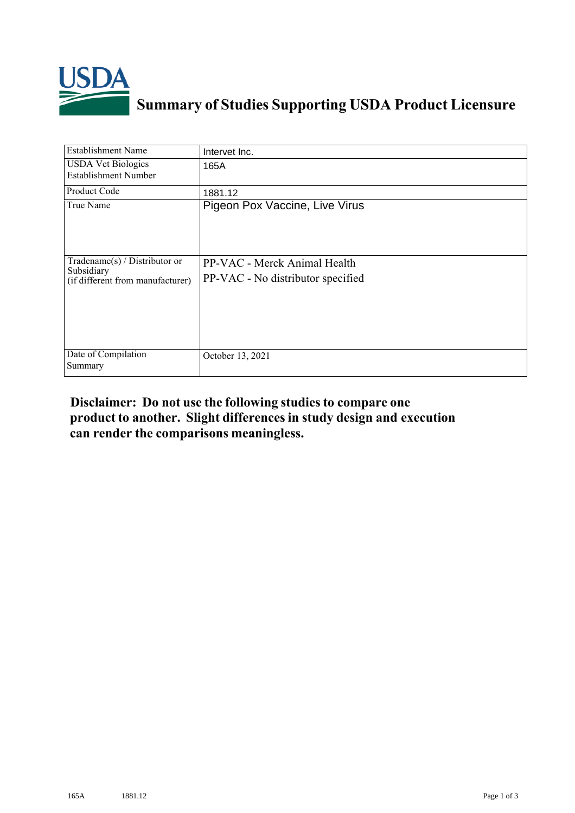

## **Summary of Studies Supporting USDA Product Licensure**

| <b>Establishment Name</b>                                                       | Intervet Inc.                                                     |
|---------------------------------------------------------------------------------|-------------------------------------------------------------------|
| <b>USDA Vet Biologics</b><br><b>Establishment Number</b>                        | 165A                                                              |
| <b>Product Code</b>                                                             | 1881.12                                                           |
| True Name                                                                       | Pigeon Pox Vaccine, Live Virus                                    |
| Tradename(s) / Distributor or<br>Subsidiary<br>(if different from manufacturer) | PP-VAC - Merck Animal Health<br>PP-VAC - No distributor specified |
| Date of Compilation<br>Summary                                                  | October 13, 2021                                                  |

## **Disclaimer: Do not use the following studiesto compare one product to another. Slight differencesin study design and execution can render the comparisons meaningless.**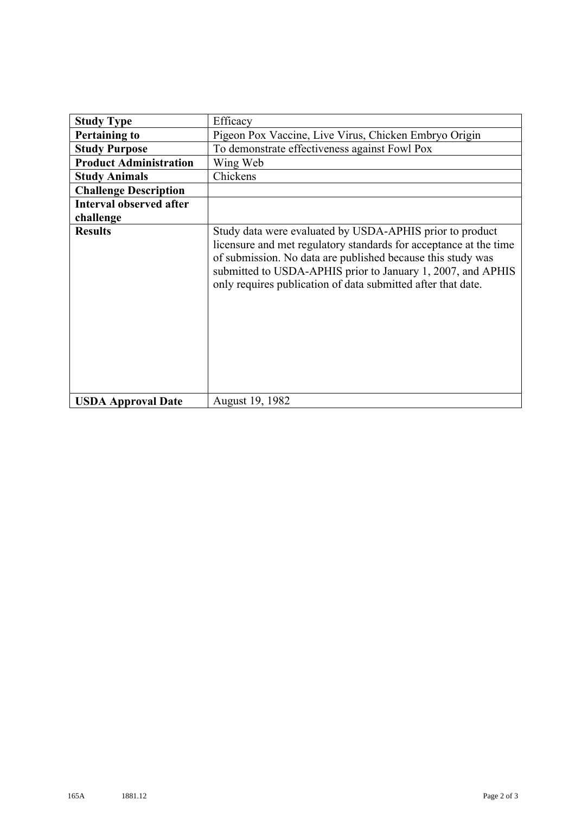| <b>Study Type</b>              | Efficacy                                                                                                                                                                                                                                                                                                                    |
|--------------------------------|-----------------------------------------------------------------------------------------------------------------------------------------------------------------------------------------------------------------------------------------------------------------------------------------------------------------------------|
| <b>Pertaining to</b>           | Pigeon Pox Vaccine, Live Virus, Chicken Embryo Origin                                                                                                                                                                                                                                                                       |
| <b>Study Purpose</b>           | To demonstrate effectiveness against Fowl Pox                                                                                                                                                                                                                                                                               |
| <b>Product Administration</b>  | Wing Web                                                                                                                                                                                                                                                                                                                    |
| <b>Study Animals</b>           | Chickens                                                                                                                                                                                                                                                                                                                    |
| <b>Challenge Description</b>   |                                                                                                                                                                                                                                                                                                                             |
| <b>Interval observed after</b> |                                                                                                                                                                                                                                                                                                                             |
| challenge                      |                                                                                                                                                                                                                                                                                                                             |
| <b>Results</b>                 | Study data were evaluated by USDA-APHIS prior to product<br>licensure and met regulatory standards for acceptance at the time<br>of submission. No data are published because this study was<br>submitted to USDA-APHIS prior to January 1, 2007, and APHIS<br>only requires publication of data submitted after that date. |
| <b>USDA Approval Date</b>      | August 19, 1982                                                                                                                                                                                                                                                                                                             |